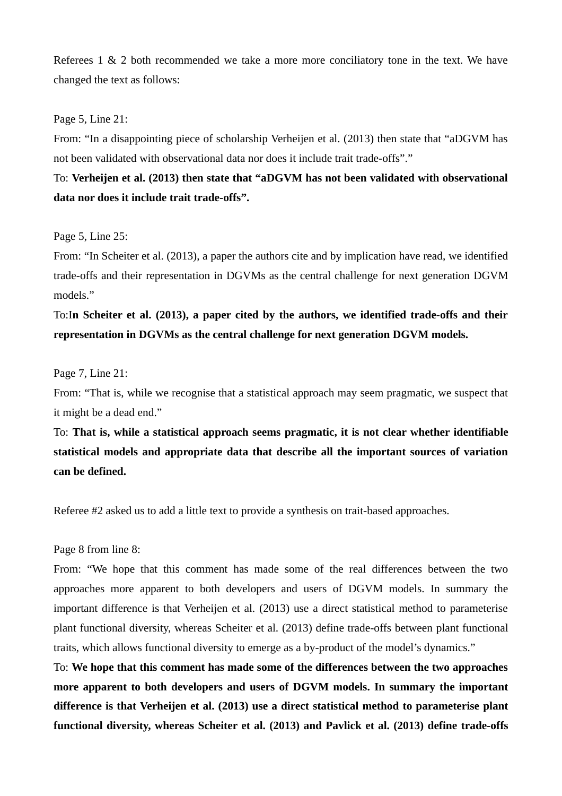Referees 1 & 2 both recommended we take a more more conciliatory tone in the text. We have changed the text as follows:

## Page 5, Line 21:

From: "In a disappointing piece of scholarship Verheijen et al. (2013) then state that "aDGVM has not been validated with observational data nor does it include trait trade-offs"."

To: **Verheijen et al. (2013) then state that "aDGVM has not been validated with observational data nor does it include trait trade-offs".**

### Page 5, Line 25:

From: "In Scheiter et al. (2013), a paper the authors cite and by implication have read, we identified trade-offs and their representation in DGVMs as the central challenge for next generation DGVM models."

# To:I**n Scheiter et al. (2013), a paper cited by the authors, we identified trade-offs and their representation in DGVMs as the central challenge for next generation DGVM models.**

### Page 7, Line 21:

From: "That is, while we recognise that a statistical approach may seem pragmatic, we suspect that it might be a dead end."

To: **That is, while a statistical approach seems pragmatic, it is not clear whether identifiable statistical models and appropriate data that describe all the important sources of variation can be defined.**

Referee #2 asked us to add a little text to provide a synthesis on trait-based approaches.

## Page 8 from line 8:

From: "We hope that this comment has made some of the real differences between the two approaches more apparent to both developers and users of DGVM models. In summary the important difference is that Verheijen et al. (2013) use a direct statistical method to parameterise plant functional diversity, whereas Scheiter et al. (2013) define trade-offs between plant functional traits, which allows functional diversity to emerge as a by-product of the model's dynamics."

To: **We hope that this comment has made some of the differences between the two approaches more apparent to both developers and users of DGVM models. In summary the important difference is that Verheijen et al. (2013) use a direct statistical method to parameterise plant functional diversity, whereas Scheiter et al. (2013) and Pavlick et al. (2013) define trade-offs**